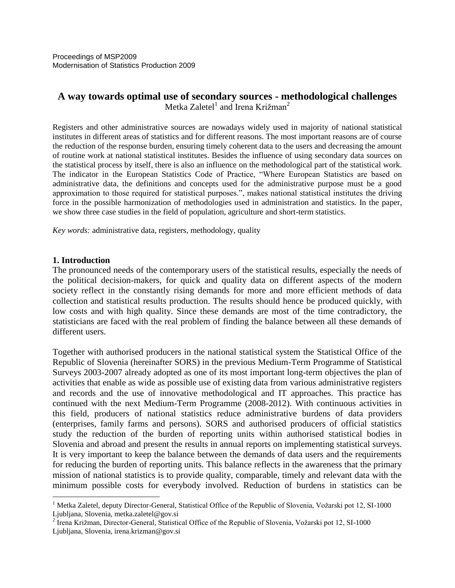Proceedings of MSP2009 Modernisation of Statistics Production 2009

# **A way towards optimal use of secondary sources - methodological challenges** Metka Zaletel<sup>1</sup> and Irena Križman<sup>2</sup>

Registers and other administrative sources are nowadays widely used in majority of national statistical institutes in different areas of statistics and for different reasons. The most important reasons are of course the reduction of the response burden, ensuring timely coherent data to the users and decreasing the amount of routine work at national statistical institutes. Besides the influence of using secondary data sources on the statistical process by itself, there is also an influence on the methodological part of the statistical work. The indicator in the European Statistics Code of Practice, "Where European Statistics are based on administrative data, the definitions and concepts used for the administrative purpose must be a good approximation to those required for statistical purposes.", makes national statistical institutes the driving force in the possible harmonization of methodologies used in administration and statistics. In the paper, we show three case studies in the field of population, agriculture and short-term statistics.

*Key words:* administrative data, registers, methodology, quality

#### **1. Introduction**

 $\overline{a}$ 

The pronounced needs of the contemporary users of the statistical results, especially the needs of the political decision-makers, for quick and quality data on different aspects of the modern society reflect in the constantly rising demands for more and more efficient methods of data collection and statistical results production. The results should hence be produced quickly, with low costs and with high quality. Since these demands are most of the time contradictory, the statisticians are faced with the real problem of finding the balance between all these demands of different users.

Together with authorised producers in the national statistical system the Statistical Office of the Republic of Slovenia (hereinafter SORS) in the previous Medium-Term Programme of Statistical Surveys 2003-2007 already adopted as one of its most important long-term objectives the plan of activities that enable as wide as possible use of existing data from various administrative registers and records and the use of innovative methodological and IT approaches. This practice has continued with the next Medium-Term Programme (2008-2012). With continuous activities in this field, producers of national statistics reduce administrative burdens of data providers (enterprises, family farms and persons). SORS and authorised producers of official statistics study the reduction of the burden of reporting units within authorised statistical bodies in Slovenia and abroad and present the results in annual reports on implementing statistical surveys. It is very important to keep the balance between the demands of data users and the requirements for reducing the burden of reporting units. This balance reflects in the awareness that the primary mission of national statistics is to provide quality, comparable, timely and relevant data with the minimum possible costs for everybody involved. Reduction of burdens in statistics can be

<sup>&</sup>lt;sup>1</sup> Metka Zaletel, deputy Director-General, Statistical Office of the Republic of Slovenia, Vožarski pot 12, SI-1000 Ljubljana, Slovenia, metka.zaletel@gov.si

<sup>&</sup>lt;sup>2</sup> Irena Križman, Director-General, Statistical Office of the Republic of Slovenia, Vožarski pot 12, SI-1000 Ljubljana, Slovenia, irena.krizman@gov.si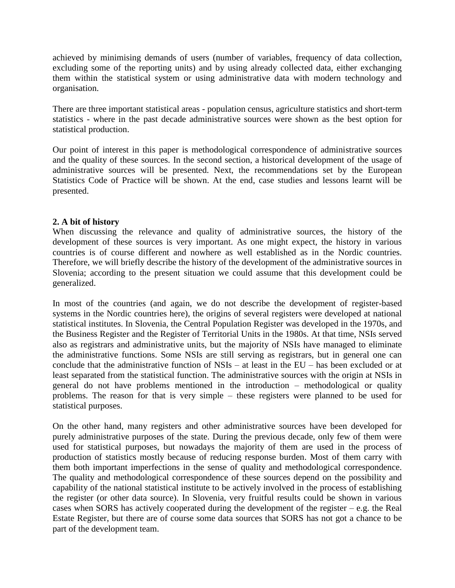achieved by minimising demands of users (number of variables, frequency of data collection, excluding some of the reporting units) and by using already collected data, either exchanging them within the statistical system or using administrative data with modern technology and organisation.

There are three important statistical areas - population census, agriculture statistics and short-term statistics - where in the past decade administrative sources were shown as the best option for statistical production.

Our point of interest in this paper is methodological correspondence of administrative sources and the quality of these sources. In the second section, a historical development of the usage of administrative sources will be presented. Next, the recommendations set by the European Statistics Code of Practice will be shown. At the end, case studies and lessons learnt will be presented.

### **2. A bit of history**

When discussing the relevance and quality of administrative sources, the history of the development of these sources is very important. As one might expect, the history in various countries is of course different and nowhere as well established as in the Nordic countries. Therefore, we will briefly describe the history of the development of the administrative sources in Slovenia; according to the present situation we could assume that this development could be generalized.

In most of the countries (and again, we do not describe the development of register-based systems in the Nordic countries here), the origins of several registers were developed at national statistical institutes. In Slovenia, the Central Population Register was developed in the 1970s, and the Business Register and the Register of Territorial Units in the 1980s. At that time, NSIs served also as registrars and administrative units, but the majority of NSIs have managed to eliminate the administrative functions. Some NSIs are still serving as registrars, but in general one can conclude that the administrative function of NSIs – at least in the EU – has been excluded or at least separated from the statistical function. The administrative sources with the origin at NSIs in general do not have problems mentioned in the introduction – methodological or quality problems. The reason for that is very simple – these registers were planned to be used for statistical purposes.

On the other hand, many registers and other administrative sources have been developed for purely administrative purposes of the state. During the previous decade, only few of them were used for statistical purposes, but nowadays the majority of them are used in the process of production of statistics mostly because of reducing response burden. Most of them carry with them both important imperfections in the sense of quality and methodological correspondence. The quality and methodological correspondence of these sources depend on the possibility and capability of the national statistical institute to be actively involved in the process of establishing the register (or other data source). In Slovenia, very fruitful results could be shown in various cases when SORS has actively cooperated during the development of the register – e.g. the Real Estate Register, but there are of course some data sources that SORS has not got a chance to be part of the development team.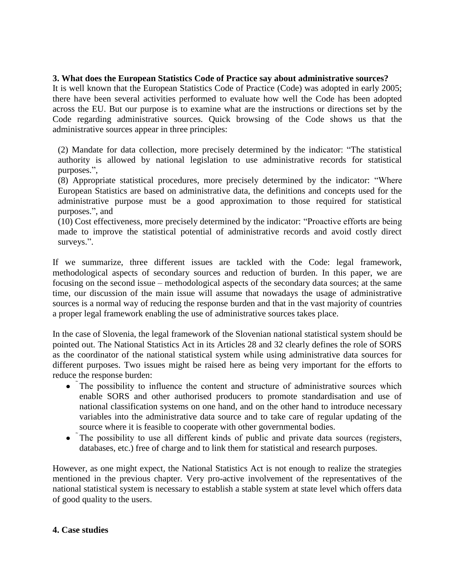### **3. What does the European Statistics Code of Practice say about administrative sources?**

It is well known that the European Statistics Code of Practice (Code) was adopted in early 2005; there have been several activities performed to evaluate how well the Code has been adopted across the EU. But our purpose is to examine what are the instructions or directions set by the Code regarding administrative sources. Quick browsing of the Code shows us that the administrative sources appear in three principles:

(2) Mandate for data collection, more precisely determined by the indicator: "The statistical authority is allowed by national legislation to use administrative records for statistical purposes.",

(8) Appropriate statistical procedures, more precisely determined by the indicator: "Where European Statistics are based on administrative data, the definitions and concepts used for the administrative purpose must be a good approximation to those required for statistical purposes.", and

(10) Cost effectiveness, more precisely determined by the indicator: "Proactive efforts are being made to improve the statistical potential of administrative records and avoid costly direct surveys.".

If we summarize, three different issues are tackled with the Code: legal framework, methodological aspects of secondary sources and reduction of burden. In this paper, we are focusing on the second issue – methodological aspects of the secondary data sources; at the same time, our discussion of the main issue will assume that nowadays the usage of administrative sources is a normal way of reducing the response burden and that in the vast majority of countries a proper legal framework enabling the use of administrative sources takes place.

In the case of Slovenia, the legal framework of the Slovenian national statistical system should be pointed out. The National Statistics Act in its Articles 28 and 32 clearly defines the role of SORS as the coordinator of the national statistical system while using administrative data sources for different purposes. Two issues might be raised here as being very important for the efforts to reduce the response burden:

- The possibility to influence the content and structure of administrative sources which enable SORS and other authorised producers to promote standardisation and use of national classification systems on one hand, and on the other hand to introduce necessary variables into the administrative data source and to take care of regular updating of the source where it is feasible to cooperate with other governmental bodies.
- The possibility to use all different kinds of public and private data sources (registers, databases, etc.) free of charge and to link them for statistical and research purposes.

However, as one might expect, the National Statistics Act is not enough to realize the strategies mentioned in the previous chapter. Very pro-active involvement of the representatives of the national statistical system is necessary to establish a stable system at state level which offers data of good quality to the users.

#### **4. Case studies**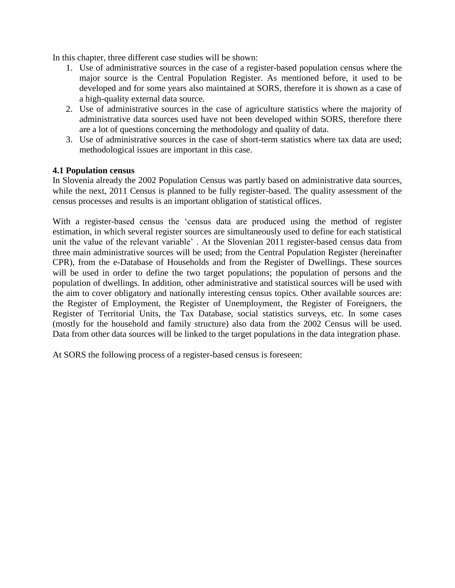In this chapter, three different case studies will be shown:

- 1. Use of administrative sources in the case of a register-based population census where the major source is the Central Population Register. As mentioned before, it used to be developed and for some years also maintained at SORS, therefore it is shown as a case of a high-quality external data source.
- 2. Use of administrative sources in the case of agriculture statistics where the majority of administrative data sources used have not been developed within SORS, therefore there are a lot of questions concerning the methodology and quality of data.
- 3. Use of administrative sources in the case of short-term statistics where tax data are used; methodological issues are important in this case.

#### **4.1 Population census**

In Slovenia already the 2002 Population Census was partly based on administrative data sources, while the next, 2011 Census is planned to be fully register-based. The quality assessment of the census processes and results is an important obligation of statistical offices.

With a register-based census the "census data are produced using the method of register estimation, in which several register sources are simultaneously used to define for each statistical unit the value of the relevant variable" . At the Slovenian 2011 register-based census data from three main administrative sources will be used; from the Central Population Register (hereinafter CPR), from the e-Database of Households and from the Register of Dwellings. These sources will be used in order to define the two target populations; the population of persons and the population of dwellings. In addition, other administrative and statistical sources will be used with the aim to cover obligatory and nationally interesting census topics. Other available sources are: the Register of Employment, the Register of Unemployment, the Register of Foreigners, the Register of Territorial Units, the Tax Database, social statistics surveys, etc. In some cases (mostly for the household and family structure) also data from the 2002 Census will be used. Data from other data sources will be linked to the target populations in the data integration phase.

At SORS the following process of a register-based census is foreseen: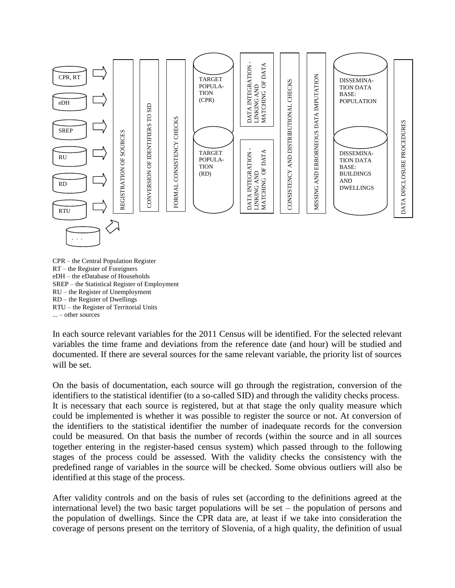

CPR – the Central Population Register RT – the Register of Foreigners eDH – the eDatabase of Households SREP – the Statistical Register of Employment RU – the Register of Unemployment RD – the Register of Dwellings RTU – the Register of Territorial Units ... – other sources

In each source relevant variables for the 2011 Census will be identified. For the selected relevant variables the time frame and deviations from the reference date (and hour) will be studied and documented. If there are several sources for the same relevant variable, the priority list of sources will be set.

On the basis of documentation, each source will go through the registration, conversion of the identifiers to the statistical identifier (to a so-called SID) and through the validity checks process. It is necessary that each source is registered, but at that stage the only quality measure which could be implemented is whether it was possible to register the source or not. At conversion of the identifiers to the statistical identifier the number of inadequate records for the conversion could be measured. On that basis the number of records (within the source and in all sources together entering in the register-based census system) which passed through to the following stages of the process could be assessed. With the validity checks the consistency with the predefined range of variables in the source will be checked. Some obvious outliers will also be identified at this stage of the process.

After validity controls and on the basis of rules set (according to the definitions agreed at the international level) the two basic target populations will be set – the population of persons and the population of dwellings. Since the CPR data are, at least if we take into consideration the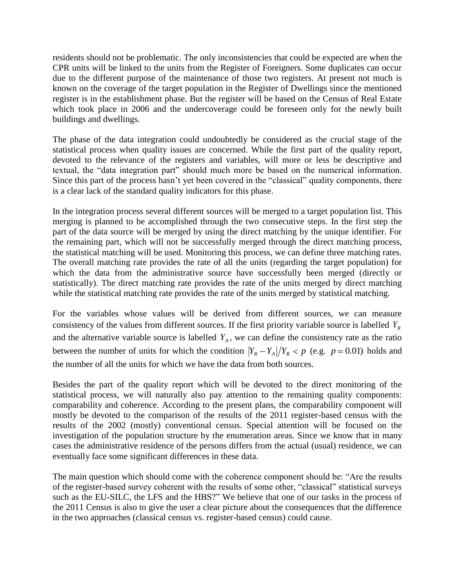residents should not be problematic. The only inconsistencies that could be expected are when the CPR units will be linked to the units from the Register of Foreigners. Some duplicates can occur due to the different purpose of the maintenance of those two registers. At present not much is known on the coverage of the target population in the Register of Dwellings since the mentioned register is in the establishment phase. But the register will be based on the Census of Real Estate which took place in 2006 and the undercoverage could be foreseen only for the newly built buildings and dwellings.

The phase of the data integration could undoubtedly be considered as the crucial stage of the statistical process when quality issues are concerned. While the first part of the quality report, devoted to the relevance of the registers and variables, will more or less be descriptive and textual, the "data integration part" should much more be based on the numerical information. Since this part of the process hasn"t yet been covered in the "classical" quality components, there is a clear lack of the standard quality indicators for this phase.

In the integration process several different sources will be merged to a target population list. This merging is planned to be accomplished through the two consecutive steps. In the first step the part of the data source will be merged by using the direct matching by the unique identifier. For the remaining part, which will not be successfully merged through the direct matching process, the statistical matching will be used. Monitoring this process, we can define three matching rates. The overall matching rate provides the rate of all the units (regarding the target population) for which the data from the administrative source have successfully been merged (directly or statistically). The direct matching rate provides the rate of the units merged by direct matching while the statistical matching rate provides the rate of the units merged by statistical matching.

For the variables whose values will be derived from different sources, we can measure consistency of the values from different sources. If the first priority variable source is labelled *YR* and the alternative variable source is labelled  $Y_A$ , we can define the consistency rate as the ratio between the number of units for which the condition  $|Y_R - Y_A|/Y_R < p$  (e.g.  $p = 0.01$ ) holds and the number of all the units for which we have the data from both sources.

Besides the part of the quality report which will be devoted to the direct monitoring of the statistical process, we will naturally also pay attention to the remaining quality components: comparability and coherence. According to the present plans, the comparability component will mostly be devoted to the comparison of the results of the 2011 register-based census with the results of the 2002 (mostly) conventional census. Special attention will be focused on the investigation of the population structure by the enumeration areas. Since we know that in many cases the administrative residence of the persons differs from the actual (usual) residence, we can eventually face some significant differences in these data.

The main question which should come with the coherence component should be: "Are the results of the register-based survey coherent with the results of some other, "classical" statistical surveys such as the EU-SILC, the LFS and the HBS?" We believe that one of our tasks in the process of the 2011 Census is also to give the user a clear picture about the consequences that the difference in the two approaches (classical census vs. register-based census) could cause.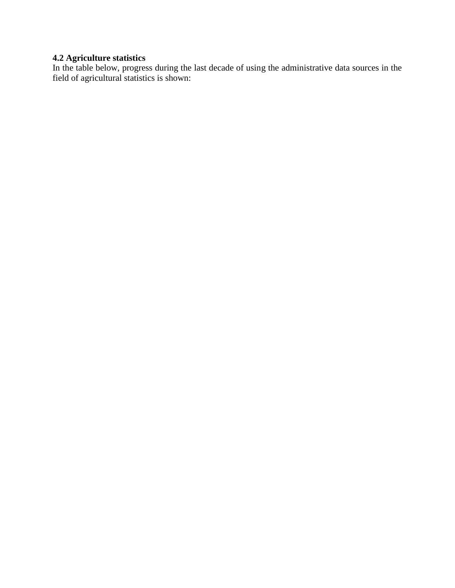### **4.2 Agriculture statistics**

In the table below, progress during the last decade of using the administrative data sources in the field of agricultural statistics is shown: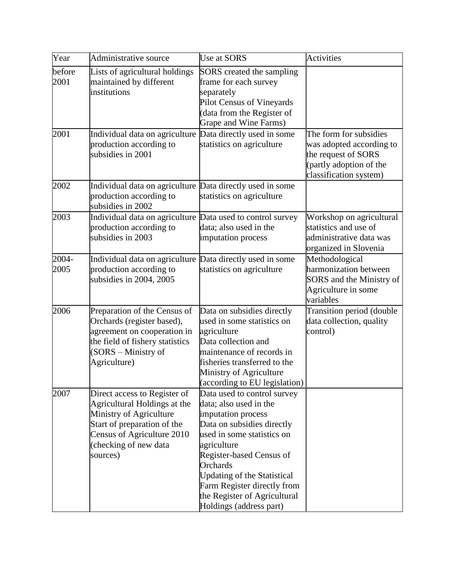| Year           | Administrative source                                                                                                                                                                     | Use at SORS                                                                                                                                                                                                                                                                                                                           | <b>Activities</b>                                                                                                              |
|----------------|-------------------------------------------------------------------------------------------------------------------------------------------------------------------------------------------|---------------------------------------------------------------------------------------------------------------------------------------------------------------------------------------------------------------------------------------------------------------------------------------------------------------------------------------|--------------------------------------------------------------------------------------------------------------------------------|
| before<br>2001 | Lists of agricultural holdings<br>maintained by different<br>institutions                                                                                                                 | SORS created the sampling<br>frame for each survey<br>separately<br>Pilot Census of Vineyards<br>(data from the Register of<br>Grape and Wine Farms)                                                                                                                                                                                  |                                                                                                                                |
| 2001           | Individual data on agriculture Data directly used in some<br>production according to<br>subsidies in 2001                                                                                 | statistics on agriculture                                                                                                                                                                                                                                                                                                             | The form for subsidies<br>was adopted according to<br>the request of SORS<br>(partly adoption of the<br>classification system) |
| 2002           | Individual data on agriculture Data directly used in some<br>production according to<br>subsidies in 2002                                                                                 | statistics on agriculture                                                                                                                                                                                                                                                                                                             |                                                                                                                                |
| 2003           | Individual data on agriculture Data used to control survey<br>production according to<br>subsidies in 2003                                                                                | data; also used in the<br>imputation process                                                                                                                                                                                                                                                                                          | Workshop on agricultural<br>statistics and use of<br>administrative data was<br>organized in Slovenia                          |
| 2004-<br>2005  | Individual data on agriculture Data directly used in some<br>production according to<br>subsidies in 2004, 2005                                                                           | statistics on agriculture                                                                                                                                                                                                                                                                                                             | Methodological<br>harmonization between<br>SORS and the Ministry of<br>Agriculture in some<br>variables                        |
| 2006           | Preparation of the Census of<br>Orchards (register based),<br>agreement on cooperation in<br>the field of fishery statistics<br>(SORS - Ministry of<br>Agriculture)                       | Data on subsidies directly<br>used in some statistics on<br>agriculture<br>Data collection and<br>maintenance of records in<br>fisheries transferred to the<br>Ministry of Agriculture<br>(according to EU legislation)                                                                                                               | Transition period (double<br>data collection, quality<br>control)                                                              |
| 2007           | Direct access to Register of<br>Agricultural Holdings at the<br>Ministry of Agriculture<br>Start of preparation of the<br>Census of Agriculture 2010<br>(checking of new data<br>sources) | Data used to control survey<br>data; also used in the<br>imputation process<br>Data on subsidies directly<br>used in some statistics on<br>agriculture<br>Register-based Census of<br><b>Orchards</b><br><b>Updating of the Statistical</b><br>Farm Register directly from<br>the Register of Agricultural<br>Holdings (address part) |                                                                                                                                |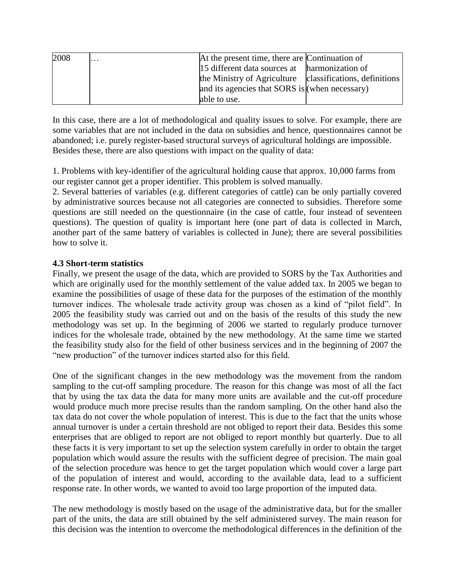| 2008 | . | At the present time, there are Continuation of |                              |
|------|---|------------------------------------------------|------------------------------|
|      |   | 15 different data sources at harmonization of  |                              |
|      |   | the Ministry of Agriculture                    | classifications, definitions |
|      |   | and its agencies that SORS is (when necessary) |                              |
|      |   | able to use.                                   |                              |

In this case, there are a lot of methodological and quality issues to solve. For example, there are some variables that are not included in the data on subsidies and hence, questionnaires cannot be abandoned; i.e. purely register-based structural surveys of agricultural holdings are impossible. Besides these, there are also questions with impact on the quality of data:

1. Problems with key-identifier of the agricultural holding cause that approx. 10,000 farms from our register cannot get a proper identifier. This problem is solved manually.

2. Several batteries of variables (e.g. different categories of cattle) can be only partially covered by administrative sources because not all categories are connected to subsidies. Therefore some questions are still needed on the questionnaire (in the case of cattle, four instead of seventeen questions). The question of quality is important here (one part of data is collected in March, another part of the same battery of variables is collected in June); there are several possibilities how to solve it.

### **4.3 Short-term statistics**

Finally, we present the usage of the data, which are provided to SORS by the Tax Authorities and which are originally used for the monthly settlement of the value added tax. In 2005 we began to examine the possibilities of usage of these data for the purposes of the estimation of the monthly turnover indices. The wholesale trade activity group was chosen as a kind of "pilot field". In 2005 the feasibility study was carried out and on the basis of the results of this study the new methodology was set up. In the beginning of 2006 we started to regularly produce turnover indices for the wholesale trade, obtained by the new methodology. At the same time we started the feasibility study also for the field of other business services and in the beginning of 2007 the "new production" of the turnover indices started also for this field.

One of the significant changes in the new methodology was the movement from the random sampling to the cut-off sampling procedure. The reason for this change was most of all the fact that by using the tax data the data for many more units are available and the cut-off procedure would produce much more precise results than the random sampling. On the other hand also the tax data do not cover the whole population of interest. This is due to the fact that the units whose annual turnover is under a certain threshold are not obliged to report their data. Besides this some enterprises that are obliged to report are not obliged to report monthly but quarterly. Due to all these facts it is very important to set up the selection system carefully in order to obtain the target population which would assure the results with the sufficient degree of precision. The main goal of the selection procedure was hence to get the target population which would cover a large part of the population of interest and would, according to the available data, lead to a sufficient response rate. In other words, we wanted to avoid too large proportion of the imputed data.

The new methodology is mostly based on the usage of the administrative data, but for the smaller part of the units, the data are still obtained by the self administered survey. The main reason for this decision was the intention to overcome the methodological differences in the definition of the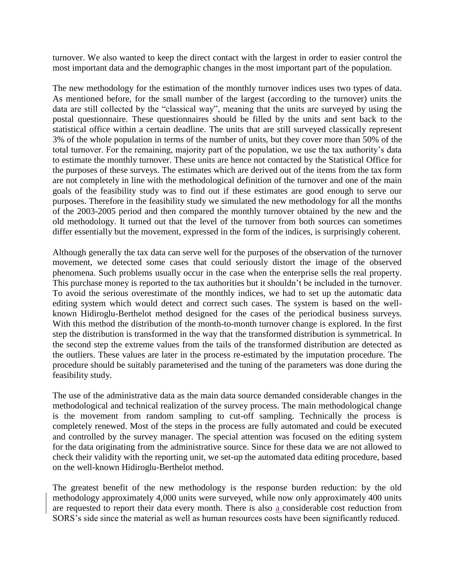turnover. We also wanted to keep the direct contact with the largest in order to easier control the most important data and the demographic changes in the most important part of the population.

The new methodology for the estimation of the monthly turnover indices uses two types of data. As mentioned before, for the small number of the largest (according to the turnover) units the data are still collected by the "classical way", meaning that the units are surveyed by using the postal questionnaire. These questionnaires should be filled by the units and sent back to the statistical office within a certain deadline. The units that are still surveyed classically represent 3% of the whole population in terms of the number of units, but they cover more than 50% of the total turnover. For the remaining, majority part of the population, we use the tax authority"s data to estimate the monthly turnover. These units are hence not contacted by the Statistical Office for the purposes of these surveys. The estimates which are derived out of the items from the tax form are not completely in line with the methodological definition of the turnover and one of the main goals of the feasibility study was to find out if these estimates are good enough to serve our purposes. Therefore in the feasibility study we simulated the new methodology for all the months of the 2003-2005 period and then compared the monthly turnover obtained by the new and the old methodology. It turned out that the level of the turnover from both sources can sometimes differ essentially but the movement, expressed in the form of the indices, is surprisingly coherent.

Although generally the tax data can serve well for the purposes of the observation of the turnover movement, we detected some cases that could seriously distort the image of the observed phenomena. Such problems usually occur in the case when the enterprise sells the real property. This purchase money is reported to the tax authorities but it shouldn't be included in the turnover. To avoid the serious overestimate of the monthly indices, we had to set up the automatic data editing system which would detect and correct such cases. The system is based on the wellknown Hidiroglu-Berthelot method designed for the cases of the periodical business surveys. With this method the distribution of the month-to-month turnover change is explored. In the first step the distribution is transformed in the way that the transformed distribution is symmetrical. In the second step the extreme values from the tails of the transformed distribution are detected as the outliers. These values are later in the process re-estimated by the imputation procedure. The procedure should be suitably parameterised and the tuning of the parameters was done during the feasibility study.

The use of the administrative data as the main data source demanded considerable changes in the methodological and technical realization of the survey process. The main methodological change is the movement from random sampling to cut-off sampling. Technically the process is completely renewed. Most of the steps in the process are fully automated and could be executed and controlled by the survey manager. The special attention was focused on the editing system for the data originating from the administrative source. Since for these data we are not allowed to check their validity with the reporting unit, we set-up the automated data editing procedure, based on the well-known Hidiroglu-Berthelot method.

The greatest benefit of the new methodology is the response burden reduction: by the old methodology approximately 4,000 units were surveyed, while now only approximately 400 units are requested to report their data every month. There is also a considerable cost reduction from SORS"s side since the material as well as human resources costs have been significantly reduced.